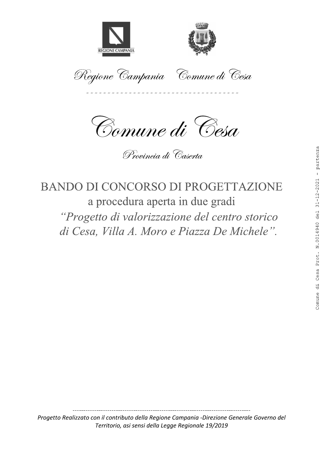



Regione Campania Comune di Cesa



Provincia di Caserta

# **BANDO DI CONCORSO DI PROGETTAZIONE** a procedura aperta in due gradi "Progetto di valorizzazione del centro storico" di Cesa, Villa A. Moro e Piazza De Michele".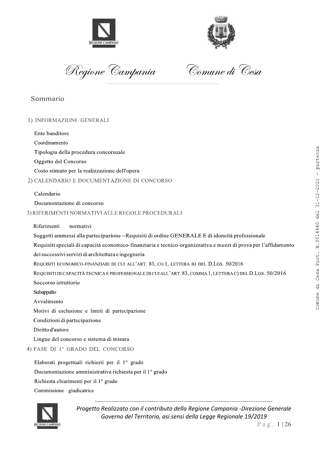



Regione Campan

Comune di Cesa

# Sommario

### 1) INFORMAZIONI GENERALI

Ente banditore

Coordinamento

Tipologia della procedura concorsuale

Oggetto del Concorso

Costo stimato per la realizzazione dell'opera

2) CALENDARIO E DOCUMENTAZIONE DI CONCORSO

#### Calendario

Documentazione di concorso

3) RIFERIMENTI NORMATIVI ALLE REGOLE PROCEDURALI

Riferimenti normativi

Soggetti ammessi alla partecipazione – Requisiti di ordine GENERALE E di idoneità professionale

Requisiti speciali di capacità economico-finanziaria e tecnico-organizzativa e mezzi di prova per l'affidamento dei successivi servizi di architettura e ingegneria

REQUISITI ECONOMICO-FINANZIARI DI CUI ALL'ART. 83, CO.1, LETTERA B) DEL D.LGS. 50/2016

REQUISITI DI CAPACITÀ TECNICA E PROFESSIONALE DI CUI ALL'ART. 83, COMMA 1, LETTERA C) DEL D.LGS. 50/2016

Soccorso istruttorio

Subappalto

Avvalimento

Motivi di esclusione e limiti di partecipazione

Condizioni di partecipazione

Diritto d'autore

Lingue del concorso e sistema di misura

4) FASE DI 1º GRADO DEL CONCORSO

ASE DI 1º GRADO DEL CONCORSO<br>
Elaborati progettuali richiesti per il 1º grado<br>
Oocumentazione amministrativa richiesta per il 1º grado<br>
Nichiesta chiarimenti per il 1º grado<br>
Commissione giudicatrice<br>
Commissione giudicatr Elaborati progettuali richiesti per il 1º grado Documentazione amministrativa richiesta per il 1º grado Richiesta chiarimenti per il 1º grado Commissione giudicatrice

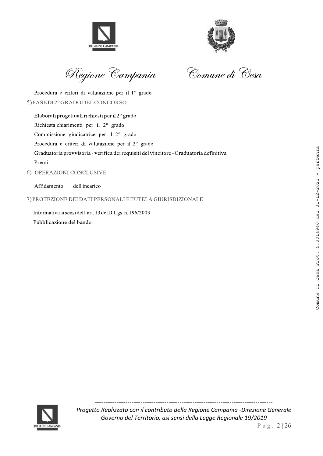



Regione Campan

Comune di Cesa

Procedura e criteri di valutazione per il 1º grado 5)FASEDI2°GRADODELCONCORSO

Elaborati progettuali richiesti per il  $2^{\circ}$  grado Richiesta chiarimenti per il 2° grado Commissione giudicatrice per il 2° grado Procedura e criteri di valutazione per il 2° grado Graduatoria provvisoria - verifica dei requisiti del vincitore - Graduatoria definitiva Premi EASED12" GRADODELCONCORSO<br>
Ekshiesta shinafmongi per il 2" grado<br>
Rishiesta shinafmoni per il 2" grado<br>
Containsione giudicatrice per il 2" grado<br>
Condutatori pervyisionia - erifica dei requisiti del vincitore - Graduator

# 6) OPERAZIONI CONCLUSIVE

Affidamento dell'incarico

7) PROTEZIONE DEI DATI PERSONALI E TUTELA GIURISDIZIONALE

Informativa ai sensi dell'art. 13 del D.Lgs. n. 196/2003

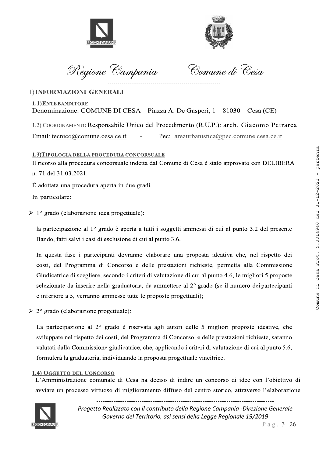



Regione Campania

Comune di Cesa

# 1) INFORMAZIONI GENERALI

1.1) ENTE BANDITORE Denominazione: COMUNE DI CESA – Piazza A. De Gasperi, 1 – 81030 – Cesa (CE)

1.2) COORDINAMENTO Responsabile Unico del Procedimento (R.U.P.): arch. Giacomo Petrarca

Email: tecnico@comune.cesa.ce.it Pec: areaurbanistica@pec.comune.cesa.ce.it

# 1.3) TIPOLOGIA DELLA PROCEDURA CONCORSUALE

Il ricorso alla procedura concorsuale indetta dal Comune di Cesa è stato approvato con DELIBERA n. 71 del 31.03.2021.

È adottata una procedura aperta in due gradi.

In particolare:

 $\triangleright$  1° grado (elaborazione idea progettuale):

la partecipazione al 1<sup>°</sup> grado è aperta a tutti i soggetti ammessi di cui al punto 3.2 del presente Bando, fatti salvi i casi di esclusione di cui al punto 3.6.

In questa fase i partecipanti dovranno elaborare una proposta ideativa che, nel rispetto dei costi, del Programma di Concorso e delle prestazioni richieste, permetta alla Commissione Giudicatrice di scegliere, secondo i criteri di valutazione di cui al punto 4.6, le migliori 5 proposte selezionate da inserire nella graduatoria, da ammettere al 2<sup>o</sup> grado (se il numero dei partecipanti è inferiore a 5, verranno ammesse tutte le proposte progettuali);

 $\geq 2^{\circ}$  grado (elaborazione progettuale):

La partecipazione al  $2^{\circ}$  grado è riservata agli autori delle 5 migliori proposte ideative, che sviluppate nel rispetto dei costi, del Programma di Concorso e delle prestazioni richieste, saranno valutati dalla Commissione giudicatrice, che, applicando i criteri di valutazione di cui al punto 5.6, formulerà la graduatoria, individuando la proposta progettuale vincitrice.

# **1.4) OGGETTO DEL CONCORSO**

L'Amministrazione comunale di Cesa ha deciso di indire un concorso di idee con l'obiettivo di avviare un processo virtuoso di miglioramento diffuso del centro storico, attraverso l'elaborazione



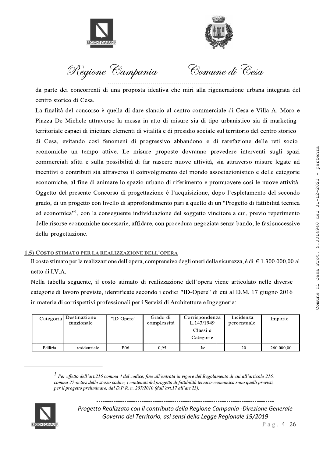



Regione Campania

Comune di Cesa

da parte dei concorrenti di una proposta ideativa che miri alla rigenerazione urbana integrata del centro storico di Cesa.

La finalità del concorso è quella di dare slancio al centro commerciale di Cesa e Villa A. Moro e Piazza De Michele attraverso la messa in atto di misure sia di tipo urbanistico sia di marketing territoriale capaci di iniettare elementi di vitalità e di presidio sociale sul territorio del centro storico di Cesa, evitando così fenomeni di progressivo abbandono e di rarefazione delle reti socioeconomiche un tempo attive. Le misure proposte dovranno prevedere interventi sugli spazi commerciali sfitti e sulla possibilità di far nascere nuove attività, sia attraverso misure legate ad incentivi o contributi sia attraverso il coinvolgimento del mondo associazionistico e delle categorie economiche, al fine di animare lo spazio urbano di riferimento e promuovere così le nuove attività. Oggetto del presente Concorso di progettazione è l'acquisizione, dopo l'espletamento del secondo grado, di un progetto con livello di approfondimento pari a quello di un "Progetto di fattibilità tecnica ed economica"<sup>1</sup>, con la conseguente individuazione del soggetto vincitore a cui, previo reperimento delle risorse economiche necessarie, affidare, con procedura negoziata senza bando, le fasi successive della progettazione.

# 1.5) COSTO STIMATO PER LA REALIZZAZIONE DELL'OPERA

Il costo stimato per la realizzazione dell'opera, comprensivo degli oneri della sicurezza, è di  $\epsilon$  1.300.000,00 al netto di I.V.A.

Nella tabella seguente, il costo stimato di realizzazione dell'opera viene articolato nelle diverse categorie di lavoro previste, identificate secondo i codici "ID-Opere" di cui al D.M. 17 giugno 2016 in materia di corrispettivi professionali per i Servizi di Architettura e Ingegneria:

| Categoria | Destinazione<br>funzionale | "ID-Opere" | Grado di<br>complessità | Corrispondenza<br>L.143/1949<br>Classi e<br>Categorie | Incidenza<br>percentuale | Importo    |
|-----------|----------------------------|------------|-------------------------|-------------------------------------------------------|--------------------------|------------|
| Edilizia  | residenziale               | E06        | 0.95                    | I/c                                                   | 20                       | 260,000,00 |

<sup>&</sup>lt;sup>1</sup> Per effetto dell'art.216 comma 4 del codice, fino all'entrata in vigore del Regolamento di cui all'articolo 216, comma 27-octies dello stesso codice, i contenuti del progetto di fattibilità tecnico-economica sono quelli previsti, per il progetto preliminare, dal D.P.R. n. 207/2010 (dall'art.17 all'art.23).

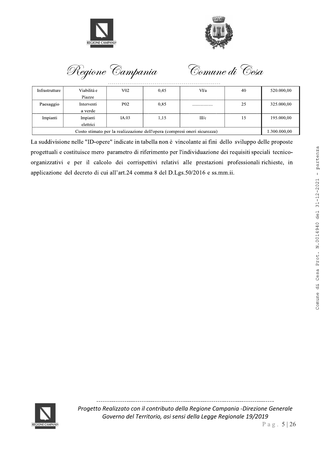



Regione Campania

Comune di Cesa

| Infrastrutture                                                           | Viabilità e | $V_{02}$        | 0.45 | VI/a  | 40 | 520.000,00 |  |
|--------------------------------------------------------------------------|-------------|-----------------|------|-------|----|------------|--|
|                                                                          | Piazze      |                 |      |       |    |            |  |
| Paesaggio                                                                | Interventi  | P <sub>02</sub> | 0.85 |       | 25 | 325.000,00 |  |
|                                                                          | a verde     |                 |      |       |    |            |  |
| Impianti                                                                 | Impianti    | IA.03           | 1,15 | III/c | 15 | 195.000,00 |  |
|                                                                          | elettrici   |                 |      |       |    |            |  |
| Costo stimato per la realizzazione dell'opera (compresi oneri sicurezza) |             |                 |      |       |    |            |  |

La suddivisione nelle "ID-opere" indicate in tabella non è vincolante ai fini dello sviluppo delle proposte progettuali e costituisce mero parametro di riferimento per l'individuazione dei requisiti speciali tecnicoorganizzativi e per il calcolo dei corrispettivi relativi alle prestazioni professionali richieste, in applicazione del decreto di cui all'art.24 comma 8 del D.Lgs.50/2016 e ss.mm.ii.

Comune di Cesa Prot. N.0014940 del 31-12-2021 - partenza

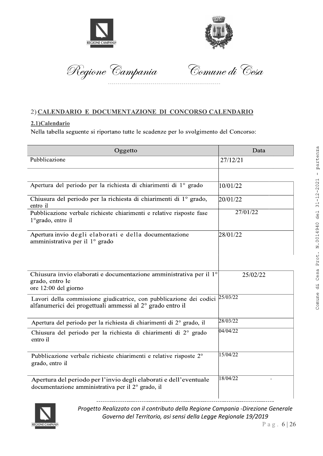



 Regione Campania — Comu.

Comune di Cesa

# 2) CALENDARIO E DOCUMENTAZIONE DI CONCORSO CALENDARIO

# 2.1)Calendario

| Oggetto                                                                                                                                             | Data        |
|-----------------------------------------------------------------------------------------------------------------------------------------------------|-------------|
| Pubblicazione                                                                                                                                       | 27/12/21    |
|                                                                                                                                                     |             |
| Apertura del periodo per la richiesta di chiarimenti di 1º grado                                                                                    | 10/01/22    |
| Chiusura del periodo per la richiesta di chiarimenti di 1° grado,<br>entro il                                                                       | 20/01/22    |
| Pubblicazione verbale richieste chiarimenti e relative risposte fase<br>1° grado, entro il                                                          | 27/01/22    |
| Apertura invio degli elaborati e della documentazione<br>amministrativa per il 1° grado                                                             | 28/01/22    |
| Chiusura invio elaborati e documentazione amministrativa per il 1º<br>grado, entro le<br>ore 12:00 del giorno                                       | 25/02/22    |
| Lavori della commissione giudicatrice, con pubblicazione dei codici<br>alfanumerici dei progettuali ammessi al 2° grado entro il                    | 25/03/22    |
| Apertura del periodo per la richiesta di chiarimenti di 2° grado, il                                                                                | 28/03/22    |
| Chiusura del periodo per la richiesta di chiarimenti di 2° grado<br>entro il                                                                        | 04/04/22    |
| Pubblicazione verbale richieste chiarimenti e relative risposte 2°<br>grado, entro il                                                               | 15/04/22    |
| Apertura del periodo per l'invio degli elaborati e dell'eventuale<br>documentazione amministrativa per il 2° grado, il                              | 18/04/22    |
| Progetto Realizzato con il contributo della Regione Campania -Direzione Generale<br>Governo del Territorio, asi sensi della Legge Regionale 19/2019 | Pag. $6 26$ |

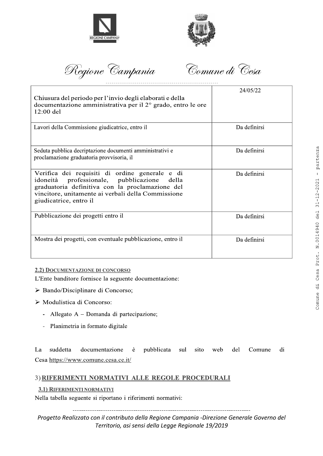



Regione Campania

Comune di Cesa

| Chiusura del periodo per l'invio degli elaborati e della<br>documentazione amministrativa per il 2° grado, entro le ore<br>$12:00$ del                                                                                                 | 24/05/22     |
|----------------------------------------------------------------------------------------------------------------------------------------------------------------------------------------------------------------------------------------|--------------|
| Lavori della Commissione giudicatrice, entro il                                                                                                                                                                                        | Da definirsi |
| Seduta pubblica decriptazione documenti amministrativi e<br>proclamazione graduatoria provvisoria, il                                                                                                                                  | Da definirsi |
| Verifica dei requisiti di ordine generale e di<br>professionale, pubblicazione<br>idoneità<br>della<br>graduatoria definitiva con la proclamazione del<br>vincitore, unitamente ai verbali della Commissione<br>giudicatrice, entro il | Da definirsi |
| Pubblicazione dei progetti entro il                                                                                                                                                                                                    | Da definirsi |
| Mostra dei progetti, con eventuale pubblicazione, entro il                                                                                                                                                                             | Da definirsi |

# 2.2) DOCUMENTAZIONE DI CONCORSO

L'Ente banditore fornisce la seguente documentazione:

- > Bando/Disciplinare di Concorso;
- > Modulistica di Concorso:
	- Allegato A Domanda di partecipazione;
	- Planimetria in formato digitale  $\mathbf{r}$

pubblicata La suddetta documentazione è sul sito web del Comune di Cesa https://www.comune.cesa.ce.it/

# 3) RIFERIMENTI NORMATIVI ALLE REGOLE PROCEDURALI

#### 3.1) RIFERIMENTI NORMATIVI

Nella tabella seguente si riportano i riferimenti normativi: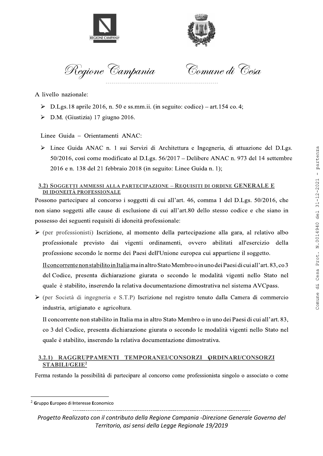



Regione Campan

Comune di Cesa

A livello nazionale:

- $\triangleright$  D.Lgs. 18 aprile 2016, n. 50 e ss.mm.ii. (in seguito: codice) art. 154 co. 4;
- D.M. (Giustizia) 17 giugno 2016.

Linee Guida - Orientamenti ANAC:

> Linee Guida ANAC n. 1 sui Servizi di Architettura e Ingegneria, di attuazione del D.Lgs.  $50/2016$ , così come modificato al D.Lgs.  $56/2017$  – Delibere ANAC n. 973 del 14 settembre 2016 e n. 138 del 21 febbraio 2018 (in seguito: Linee Guida n. 1);

### 3.2) SOGGETTI AMMESSI ALLA PARTECIPAZIONE - REQUISITI DI ORDINE GENERALE E DI IDONEITÀ PROFESSIONALE

Possono partecipare al concorso i soggetti di cui all'art. 46, comma 1 del D.Lgs. 50/2016, che non siano soggetti alle cause di esclusione di cui all'art.80 dello stesso codice e che siano in possesso dei seguenti requisiti di idoneità professionale:

 $\triangleright$  (per professionisti) Iscrizione, al momento della partecipazione alla gara, al relativo albo professionale previsto dai vigenti ordinamenti, ovvero abilitati all'esercizio della professione secondo le norme dei Paesi dell'Unione europea cui appartiene il soggetto.

Il concorrente non stabilito in Italia ma in altro Stato Membro o in uno dei Paesi di cui all'art. 83, co 3 del Codice, presenta dichiarazione giurata o secondo le modalità vigenti nello Stato nel quale è stabilito, inserendo la relativa documentazione dimostrativa nel sistema AVC pass.  $\ge$  D.I.gs 18 aprile 2016, n. 50 e so.mm.ii. (in seguito coolice) - art.154 cu.4;<br>  $\ge$  D.M. (Giustezio) 17 giugno 2016,<br>
Line Guida - Oristanteral ANAC:<br>
Line Guida ANAC n. 1 sui Sorizi di Architettura e Ingegaratia,

 $\triangleright$  (per Società di ingegneria e S.T.P) Iscrizione nel registro tenuto dalla Camera di commercio industria, artigianato e agricoltura.

Il concorrente non stabilito in Italia ma in altro Stato Membro o in uno dei Paesi di cui all'art. 83, co 3 del Codice, presenta dichiarazione giurata o secondo le modalità vigenti nello Stato nel quale è stabilito, inserendo la relativa documentazione dimostrativa.

# 2 ghihjkvrnnv|uursoypqkposumvryoqwmylmvxqkmv}qyrvqwmylmvxqk STABILI/GEIE<sup>2</sup>

Ferma restando la possibilità di partecipare al concorso come professionista singolo o associato o come

<sup>3.2.1)</sup> RAGGRUPPAMENTI TEMPORANEI/CONSORZI QRDINARI/CONSORZI<br>
STABILI/GEIE<sup>2</sup><br>
Jerma restando la possibilità di partecipare al concorso come professionista singolo o associato o come<br> *Tuppo* Europeo di Interesse Economico<br>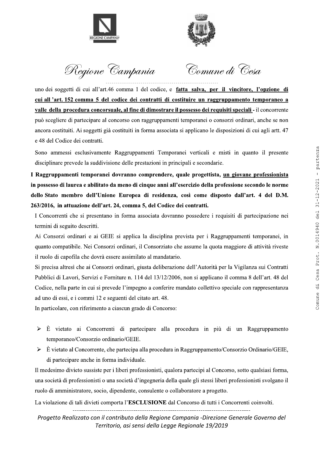



Regione Campania

Comune di Cesa

uno dei soggetti di cui all'art.46 comma 1 del codice, e fatta salva, per il vincitore, l'opzione di cui all 'art. 152 comma 5 del codice dei contratti di costituire un raggruppamento temporaneo a valle della procedura concorsuale, al fine di dimostrare il possesso dei requisiti speciali - il concorrente può scegliere di partecipare al concorso con raggruppamenti temporanei o consorzi ordinari, anche se non ancora costituiti. Ai soggetti già costituiti in forma associata si applicano le disposizioni di cui agli artt. 47 e 48 del Codice dei contratti.

Sono ammessi esclusivamente Raggruppamenti Temporanei verticali e misti in quanto il presente disciplinare prevede la suddivisione delle prestazioni in principali e secondarie.

I Raggruppamenti temporanei dovranno comprendere, quale progettista, un giovane professionista in possesso di laurea e abilitato da meno di cinque anni all'esercizio della professione secondo le norme dello Stato membro dell'Unione Europea di residenza, così come disposto dall'art. 4 del D.M. 263/2016, in attuazione dell'art. 24, comma 5, del Codice dei contratti.

I Concorrenti che si presentano in forma associata dovranno possedere i requisiti di partecipazione nei termini di seguito descritti.

Ai Consorzi ordinari e ai GEIE si applica la disciplina prevista per i Raggruppamenti temporanei, in quanto compatibile. Nei Consorzi ordinari, il Consorziato che assume la quota maggiore di attività riveste il ruolo di capofila che dovrà essere assimilato al mandatario.

Si precisa altresì che ai Consorzi ordinari, giusta deliberazione dell'Autorità per la Vigilanza sui Contratti Pubblici di Lavori, Servizi e Forniture n. 114 del 13/12/2006, non si applicano il comma 8 dell'art. 48 del Codice, nella parte in cui si prevede l'impegno a conferire mandato collettivo speciale con rappresentanza ad uno di essi, e i commi 12 e seguenti del citato art. 48.

In particolare, con riferimento a ciascun grado di Concorso:

- $\blacktriangleright$ È vietato ai Concorrenti di partecipare alla procedura in più di un Raggruppamento temporaneo/Consorzio ordinario/GEIE.
- È vietato al Concorrente, che partecipa alla procedura in Raggruppamento/Consorzio Ordinario/GEIE,  $\blacktriangleright$ di partecipare anche in forma individuale.

Il medesimo divieto sussiste per i liberi professionisti, qualora partecipi al Concorso, sotto qualsiasi forma, una società di professionisti o una società d'ingegneria della quale gli stessi liberi professionisti svolgano il ruolo di amministratore, socio, dipendente, consulente o collaboratore a progetto.

La violazione di tali divieti comporta l'ESCLUSIONE dal Concorso di tutti i Concorrenti coinvolti.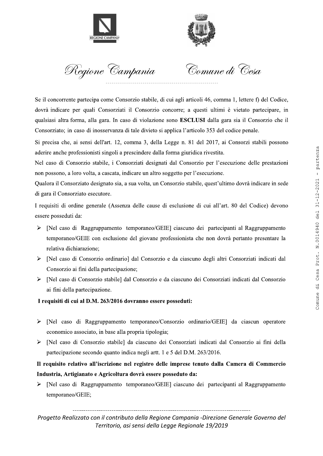



 $\overline{a}$ Regione Campan

 --

**Example 2**<br>
Solution Complete into Constraint Commute dd Costs and the set of the set of the set of the set of the set of the set of the set of the set of the set of the set of the set of the set of the set of the set of Se il concorrente partecipa come Consorzio stabile, di cui agli articoli 46, comma 1, lettere f) del Codice, dovrà indicare per quali Consorziati il Consorzio concorre; a questi ultimi è vietato partecipare, in qualsiasi altra forma, alla gara. In caso di violazione sono **ESCLUSI** dalla gara sia il Consorzio che il Consorziato; in caso di inosservanza di tale divieto si applica l'articolo 353 del codice penale. concertion-<br>
concertion-<br>
indicate part quali Consoration at the one of voltation concert; a quasit ultimal  $\hat{r}$  vielate participare, in<br>
instant mirror, a diagram. In case di violazione some ESCLUSH dalla gara sia il

Si precisa che, ai sensi dell'art. 12, comma 3, della Legge n. 81 del 2017, ai Consorzi stabili possono aderire anche professionisti singoli a prescindere dalla forma giuridica rivestita.

Nel caso di Consorzio stabile, i Consorziati designati dal Consorzio per l'esecuzione delle prestazioni non possono, a loro volta, a cascata, indicare un altro soggetto per l'esecuzione.

Qualora il Consorziato designato sia, a sua volta, un Consorzio stabile, quest'ultimo dovrà indicare in sede di gara il Consorziato esecutore.

I requisiti di ordine generale (Assenza delle cause di esclusione di cui all'art. 80 del Codice) devono essere posseduti da:

- > [Nel caso di Raggruppamento temporaneo/GEIE] ciascuno dei partecipanti al Raggruppamento temporaneo/GEIE con esclusione del giovane professionista che non dovrà pertanto presentare la relativa dichiarazione;
- > [Nel caso di Consorzio ordinario] dal Consorzio e da ciascuno degli altri Consorziati indicati dal Consorzio ai fini della partecipazione;
- E Nel caso di Consorzio stabile] dal Consorzio e da ciascuno dei Consorziati indicati dal Consorzio ai fini della partecipazione.

#### I requisiti di cui al D.M. 263/2016 dovranno essere posseduti:

- $\triangleright$  [Nel caso di Raggruppamento temporaneo/Consorzio ordinario/GEIE] da ciascun operatore economico associato, in base alla propria tipologia;
- Insulface of Consorzio stabile da ciascuno dei Consorziati indicati dal Consorzio ai fini della partecipazione secondo quanto indica negli artt. 1 e 5 del D.M. 263/2016.

# Il requisito relativo all'iscrizione nel registro delle imprese tenuto dalla Camera di Commercio Industria, Artigianato e Agricoltura dovrà essere posseduto da:

ightable 25 [Nel caso di Raggruppamento temporaneo/GEIE] ciascuno dei partecipanti al Raggruppamento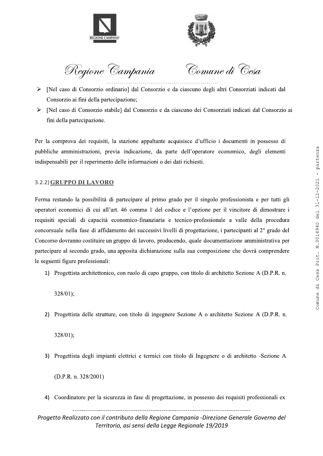



Regione Campania

Comune di Cesa

- > [Nel caso di Consorzio ordinario] dal Consorzio e da ciascuno degli altri Consorziati indicati dal Consorzio ai fini della partecipazione;
- [Nel caso di Consorzio stabile] dal Consorzio e da ciascuno dei Consorziati indicati dal Consorzio ai ➤ fini della partecipazione.

Per la comprova dei requisiti, la stazione appaltante acquisisce d'ufficio i documenti in possesso di pubbliche amministrazioni, previa indicazione, da parte dell'operatore economico, degli elementi indispensabili per il reperimento delle informazioni o dei dati richiesti.

# 3.2.2) GRUPPO DI LAVORO

Ferma restando la possibilità di partecipare al primo grado per il singolo professionista e per tutti gli operatori economici di cui all'art. 46 comma 1 del codice e l'opzione per il vincitore di dimostrare i requisiti speciali di capacità economico-finanziaria e tecnico-professionale a valle della procedura concorsuale nella fase di affidamento dei successivi livelli di progettazione, i partecipanti al 2<sup>°</sup> grado del Concorso dovranno costituire un gruppo di lavoro, producendo, quale documentazione amministrativa per partecipare al secondo grado, una apposita dichiarazione sulla sua composizione che dovrà comprendere le seguenti figure professionali:

1) Progettista architettonico, con ruolo di capo gruppo, con titolo di architetto Sezione A (D.P.R. n.

 $328/01$ :

2) Progettista delle strutture, con titolo di ingegnere Sezione A o architetto Sezione A (D.P.R. n.

 $328/01$ :

3) Progettista degli impianti elettrici e termici con titolo di Ingegnere o di architetto -Sezione A

 $(D.P.R. n. 328/2001)$ 

4) Coordinatore per la sicurezza in fase di progettazione, in possesso dei requisiti professionali ex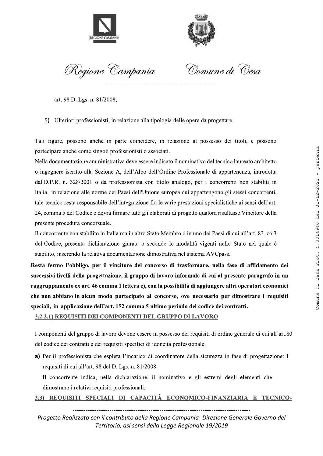



Regione Campania

Comune di Cesa

art. 98 D. Lgs. n. 81/2008;

5) Ulteriori professionisti, in relazione alla tipologia delle opere da progettare.

Tali figure, possono anche in parte coincidere, in relazione al possesso dei titoli, e possono partecipare anche come singoli professionisti o associati.

Nella documentazione amministrativa deve essere indicato il nominativo del tecnico laureato architetto o ingegnere iscritto alla Sezione A, dell'Albo dell'Ordine Professionale di appartenenza, introdotta dal D.P.R. n. 328/2001 o da professionista con titolo analogo, per i concorrenti non stabiliti in Italia, in relazione alle norme dei Paesi dell'Unione europea cui appartengono gli stessi concorrenti, tale tecnico resta responsabile dell'integrazione fra le varie prestazioni specialistiche ai sensi dell'art. 24, comma 5 del Codice e dovrà firmare tutti gli elaborati di progetto qualora risultasse Vincitore della presente procedura concorsuale.

Il concorrente non stabilito in Italia ma in altro Stato Membro o in uno dei Paesi di cui all'art. 83, co 3 del Codice, presenta dichiarazione giurata o secondo le modalità vigenti nello Stato nel quale è stabilito, inserendo la relativa documentazione dimostrativa nel sistema AVCpass.

Resta fermo l'obbligo, per il vincitore del concorso di trasformare, nella fase di affidamento dei successivi livelli della progettazione, il gruppo di lavoro informale di cui al presente paragrafo in un raggruppamento ex art. 46 comma 1 lettera e), con la possibilità di aggiungere altri operatori economici che non abbiano in alcun modo partecipato al concorso, ove necessario per dimostrare i requisiti speciali, in applicazione dell'art. 152 comma 5 ultimo periodo del codice dei contratti.

# 3.2.2.1) REOUISITI DEI COMPONENTI DEL GRUPPO DI LAVORO

I componenti del gruppo di lavoro devono essere in possesso dei requisiti di ordine generale di cui all'art.80 del codice dei contratti e dei requisiti specifici di idoneità professionale.

a) Per il professionista che espleta l'incarico di coordinatore della sicurezza in fase di progettazione: I requisiti di cui all'art. 98 del D. Lgs. n. 81/2008.

Il concorrente indica, nella dichiarazione, il nominativo e gli estremi degli elementi che dimostrano i relativi requisiti professionali.

3.3) REOUISITI SPECIALI DI CAPACITÀ ECONOMICO-FINANZIARIA E TECNICO-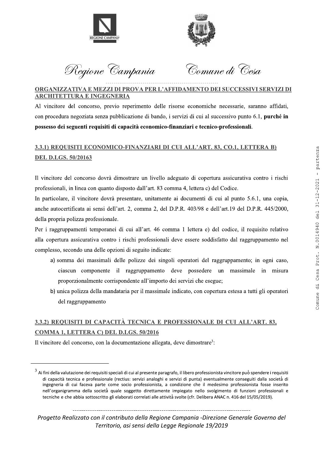



Regione Campania

Comune di Cesa

# ORGANIZZATIVA E MEZZI DI PROVA PER L'AFFIDAMENTO DEI SUCCESSIVI SERVIZI DI **ARCHITETTURA E INGEGNERIA**

Al vincitore del concorso, previo reperimento delle risorse economiche necessarie, saranno affidati, con procedura negoziata senza pubblicazione di bando, i servizi di cui al successivo punto 6.1, purché in possesso dei seguenti requisiti di capacità economico-finanziari e tecnico-professionali.

# 3.3.1) REQUISITI ECONOMICO-FINANZIARI DI CUI ALL'ART. 83, CO.1, LETTERA B) **DEL D.LGS. 50/20163**

Il vincitore del concorso dovrà dimostrare un livello adeguato di copertura assicurativa contro i rischi professionali, in linea con quanto disposto dall'art. 83 comma 4, lettera c) del Codice.

In particolare, il vincitore dovrà presentare, unitamente ai documenti di cui al punto 5.6.1, una copia, anche autocertificata ai sensi dell'art. 2, comma 2, del D.P.R. 403/98 e dell'art.19 del D.P.R. 445/2000, della propria polizza professionale.

Per i raggruppamenti temporanei di cui all'art. 46 comma 1 lettera e) del codice, il requisito relativo alla copertura assicurativa contro i rischi professionali deve essere soddisfatto dal raggruppamento nel complesso, secondo una delle opzioni di seguito indicate:

- a) somma dei massimali delle polizze dei singoli operatori del raggruppamento; in ogni caso, ciascun componente il raggruppamento deve possedere un massimale in misura proporzionalmente corrispondente all'importo dei servizi che esegue;
- b) unica polizza della mandataria per il massimale indicato, con copertura estesa a tutti gli operatori del raggruppamento

# 3.3.2) REQUISITI DI CAPACITÀ TECNICA E PROFESSIONALE DI CUI ALL'ART. 83, COMMA 1, LETTERA C) DEL D.LGS. 50/2016

Il vincitore del concorso, con la documentazione allegata, deve dimostrare<sup>3</sup>:

 $^3$  Ai fini della valutazione dei requisiti speciali di cui al presente paragrafo, il libero professionista vincitore può spendere i requisiti di capacità tecnica e professionale (rectius: servizi analoghi e servizi di punta) eventualmente conseguiti dalla società di ingegneria di cui faceva parte come socio professionista, a condizione che il medesimo professionista fosse inserito nell'organigramma della società quale soggetto direttamente impiegato nello svolgimento di funzioni professionali e tecniche e che abbia sottoscritto gli elaborati correlati alle attività svolte (cfr. Delibera ANAC n. 416 del 15/05/2019).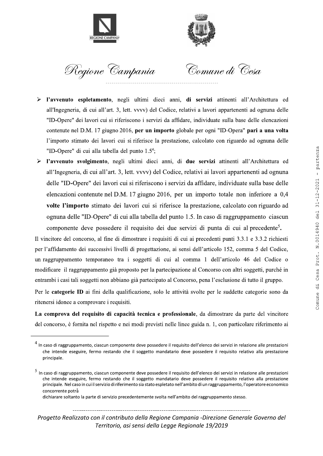



Regione Campania

Comune di Cesa

- $\blacktriangleright$ l'avvenuto espletamento, negli ultimi dieci anni, di servizi attinenti all'Architettura ed all'Ingegneria, di cui all'art. 3, lett. vvvv) del Codice, relativi a lavori appartenenti ad ognuna delle "ID-Opere" dei lavori cui si riferiscono i servizi da affidare, individuate sulla base delle elencazioni contenute nel D.M. 17 giugno 2016, per un importo globale per ogni "ID-Opera" pari a una volta l'importo stimato dei lavori cui si riferisce la prestazione, calcolato con riguardo ad ognuna delle "ID-Opere" di cui alla tabella del punto 1.5<sup>4</sup>;
- l'avvenuto svolgimento, negli ultimi dieci anni, di due servizi attinenti all'Architettura ed  $\blacktriangleright$ all'Ingegneria, di cui all'art. 3, lett. vvvv) del Codice, relativi ai lavori appartenenti ad ognuna delle "ID-Opere" dei lavori cui si riferiscono i servizi da affidare, individuate sulla base delle elencazioni contenute nel D.M. 17 giugno 2016, per un importo totale non inferiore a 0,4 volte l'importo stimato dei lavori cui si riferisce la prestazione, calcolato con riguardo ad ognuna delle "ID-Opere" di cui alla tabella del punto 1.5. In caso di raggruppamento ciascun componente deve possedere il requisito dei due servizi di punta di cui al precedente<sup>5</sup>.

Il vincitore del concorso, al fine di dimostrare i requisiti di cui ai precedenti punti 3.3.1 e 3.3.2 richiesti per l'affidamento dei successivi livelli di progettazione, ai sensi dell'articolo 152, comma 5 del Codice, un raggruppamento temporaneo tra i soggetti di cui al comma 1 dell'articolo 46 del Codice o modificare il raggruppamento già proposto per la partecipazione al Concorso con altri soggetti, purché in entrambi i casi tali soggetti non abbiano già partecipato al Concorso, pena l'esclusione di tutto il gruppo.

Per le categorie ID ai fini della qualificazione, solo le attività svolte per le suddette categorie sono da ritenersi idonee a comprovare i requisiti.

La comprova del requisito di capacità tecnica e professionale, da dimostrare da parte del vincitore del concorso, è fornita nel rispetto e nei modi previsti nelle linee guida n. 1, con particolare riferimento ai

 $4$  In caso di raggruppamento, ciascun componente deve possedere il requisito dell'elenco dei servizi in relazione alle prestazioni che intende eseguire, fermo restando che il soggetto mandatario deve possedere il requisito relativo alla prestazione principale.

 $5$  In caso di raggruppamento, ciascun componente deve possedere il requisito dell'elenco dei servizi in relazione alle prestazioni che intende eseguire, fermo restando che il soggetto mandatario deve possedere il requisito relativo alla prestazione principale. Nel caso in cui il servizio di riferimento sia stato espletato nell'ambito di un raggruppamento, l'operatore economico concorrente potrà

dichiarare soltanto la parte di servizio precedentemente svolta nell'ambito del raggruppamento stesso.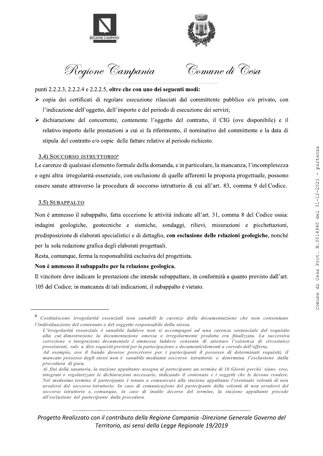



Regione Campania

Comune di Cesa

punti 2.2.2.3, 2.2.2.4 e 2.2.2.5, oltre che con uno dei seguenti modi:

- > copia dei certificati di regolare esecuzione rilasciati dal committente pubblico e/o privato, con l'indicazione dell'oggetto, dell'importo e del periodo di esecuzione dei servizi;
- $\triangleright$  dichiarazione del concorrente, contenente l'oggetto del contratto, il CIG (ove disponibile) e il relativo importo delle prestazioni a cui si fa riferimento, il nominativo del committente e la data di stipula del contratto e/o copie delle fatture relative al periodo richiesto.

#### 3.4) SOCCORSO ISTRUTTORIO<sup>6</sup>

Le carenze di qualsiasi elemento formale della domanda, e in particolare, la mancanza, l'incompletezza e ogni altra irregolarità essenziale, con esclusione di quelle afferenti la proposta progettuale, possono essere sanate attraverso la procedura di soccorso istruttorio di cui all'art. 83, comma 9 del Codice.

#### 3.5) SUBAPPALTO

Non è ammesso il subappalto, fatta eccezione le attività indicate all'art. 31, comma 8 del Codice ossia: indagini geologiche, geotecniche e sismiche, sondaggi, rilievi, misurazioni e picchettazioni, predisposizione di elaborati specialistici e di dettaglio, con esclusione delle relazioni geologiche, nonché per la sola redazione grafica degli elaborati progettuali.

Resta, comunque, ferma la responsabilità esclusiva del progettista.

#### Non è ammesso il subappalto per la relazione geologica.

Il vincitore deve indicare le prestazioni che intende subappaltare, in conformità a quanto previsto dall'art. 105 del Codice; in mancanza di tali indicazioni, il subappalto è vietato.

<sup>&</sup>lt;sup>6</sup> Costituiscono irregolarità essenziali non sanabili le carenze della documentazione che non consentano l'individuazione del contenuto o del soggetto responsabile della stessa.

L'irregolarità essenziale è sanabile laddove non si accompagni ad una carenza sostanziale del requisito alla cui dimostrazione la documentazione omessa o irregolarmente prodotta era finalizzata. La successiva correzione o integrazione documentale è ammessa laddove consenta di attestare l'esistenza di circostanze preesistenti, vale a dire requisiti previsti per la partecipazione e documenti/elementi a corredo dell'offerta.

Ad esempio, ove il bando dovesse prescrivere per i partecipanti il possesso di determinati requisiti, il mancato possesso degli stessi non è sanabile mediante soccorso istruttorio e determina l'esclusione dalla procedura di gara.

Ai fini della sanatoria, la stazione appaltante assegna al partecipante un termine di 10 Giorni perché siano rese, integrate o regolarizzate le dichiarazioni necessarie, indicando il contenuto e i soggetti che le devono rendere. Nel medesimo termine il partecipante è tenuto a comunicare alla stazione appaltante l'eventuale volontà di non avvalersi del soccorso istruttorio. In caso di comunicazione del partecipante della volontà di non avvalersi del soccorso istruttorio e, comunque, in caso di inutile decorso del termine, la stazione appaltante procede all'esclusione del partecipante dalla procedura.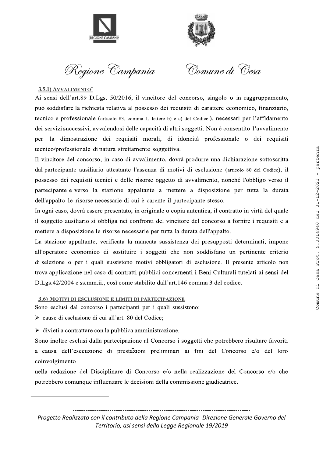



Regione Campan

Comune di Cesa

#### 3.5.1) AVVALIMENTO<sup>7</sup>

Ai sensi dell'art.89 D.Lgs.  $50/2016$ , il vincitore del concorso, singolo o in raggruppamento, può soddisfare la richiesta relativa al possesso dei requisiti di carattere economico, finanziario, tecnico e professionale (articolo 83, comma 1, lettere b) e c) del Codice.), necessari per l'affidamento dei servizi successivi, avvalendosi delle capacità di altri soggetti. Non è consentito l'avvalimento per la dimostrazione dei requisiti morali, di idoneità professionale o dei requisiti tecnico/professionale di natura strettamente soggettiva. può soldisfare la richiesta relativa al possesso dei requisiti di carattere economico, finanziario, electro e professionale (savois 8. comant i, tiacos 9 v c) ad Cosacco), precessari pre l'affidamento del scerita suecessi

Il vincitore del concorso, in caso di avvalimento, dovrà produrre una dichiarazione sottoscritta dal partecipante ausiliario attestante l'assenza di motivi di esclusione (articolo 80 del Codice), il possesso dei requisiti tecnici e delle risorse oggetto di avvalimento, nonché l'obbligo verso il partecipante e verso la stazione appaltante a mettere a disposizione per tutta la durata dell'appalto le risorse necessarie di cui è carente il partecipante stesso.

In ogni caso, dovrà essere presentato, in originale o copia autentica, il contratto in virtù del quale il soggetto ausiliario si obbliga nei confronti del vincitore del concorso a fornire i requisiti e a mettere a disposizione le risorse necessarie per tutta la durata dell'appalto.

La stazione appaltante, verificata la mancata sussistenza dei presupposti determinati, impone all'operatore economico di sostituire i soggetti che non soddisfano un pertinente criterio di selezione o per i quali sussistono motivi obbligatori di esclusione. Il presente articolo non trova applicazione nel caso di contratti pubblici concernenti i Beni Culturali tutelati ai sensi del  $D.Lgs.42/2004$  e ss.mm.ii., così come stabilito dall'art.146 comma 3 del codice.

#### 3.6) MOTIVI DI ESCLUSIONE E LIMITI DI PARTECIPAZIONE

Sono esclusi dal concorso i partecipanti per i quali sussistono:

 $\triangleright$  cause di esclusione di cui all'art. 80 del Codice;

 $\triangleright$  divieti a contrattare con la pubblica amministrazione.

Sono inoltre esclusi dalla partecipazione al Concorso i soggetti che potrebbero risultare favoriti a causa dell'esecuzione di prestazioni preliminari ai fini del Concorso e/o del loro coinvolgimento

oinvolgimento<br>
ella redazione del Disciplinare di Concorso e/o nella realizzazione del Concorso e/o che<br>
otrebbero comunque influenzare le decisioni della commissione giudicatrice.<br>
<br>
Frogetto Realizzato con il contributo nella redazione del Disciplinare di Concorso e/o nella realizzazione del Concorso e/o che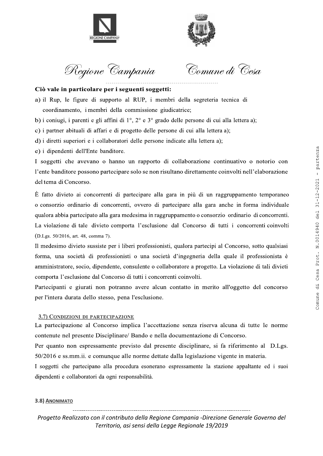



Regione Campania

Comune di Cesa

#### Ciò vale in particolare per i seguenti soggetti:

- a) il Rup, le figure di supporto al RUP, i membri della segreteria tecnica di coordinamento, i membri della commissione giudicatrice;
- b) i coniugi, i parenti e gli affini di 1°, 2° e 3° grado delle persone di cui alla lettera a);
- c) i partner abituali di affari e di progetto delle persone di cui alla lettera a);
- d) i diretti superiori e i collaboratori delle persone indicate alla lettera a);
- e) i dipendenti dell'Ente banditore.

I soggetti che avevano o hanno un rapporto di collaborazione continuativo o notorio con l'ente banditore possono partecipare solo se non risultano direttamente coinvolti nell'elaborazione del tema di Concorso.

È fatto divieto ai concorrenti di partecipare alla gara in più di un raggruppamento temporaneo o consorzio ordinario di concorrenti, ovvero di partecipare alla gara anche in forma individuale qualora abbia partecipato alla gara medesima in raggruppamento o consorzio ordinario di concorrenti. La violazione di tale divieto comporta l'esclusione dal Concorso di tutti i concorrenti coinvolti (D.Lgs. 50/2016, art. 48, comma 7).

Il medesimo divieto sussiste per i liberi professionisti, qualora partecipi al Concorso, sotto qualsiasi forma, una società di professionisti o una società d'ingegneria della quale il professionista è amministratore, socio, dipendente, consulente o collaboratore a progetto. La violazione di tali divieti comporta l'esclusione dal Concorso di tutti i concorrenti coinvolti.

Partecipanti e giurati non potranno avere alcun contatto in merito all'oggetto del concorso per l'intera durata dello stesso, pena l'esclusione.

#### 3.7) CONDIZIONI DI PARTECIPAZIONE

La partecipazione al Concorso implica l'accettazione senza riserva alcuna di tutte le norme contenute nel presente Disciplinare/ Bando e nella documentazione di Concorso.

Per quanto non espressamente previsto dal presente disciplinare, si fa riferimento al D.Lgs. 50/2016 e ss.mm.ii. e comunque alle norme dettate dalla legislazione vigente in materia.

I soggetti che partecipano alla procedura esonerano espressamente la stazione appaltante ed i suoi dipendenti e collaboratori da ogni responsabilità.

#### 3.8) ANONIMATO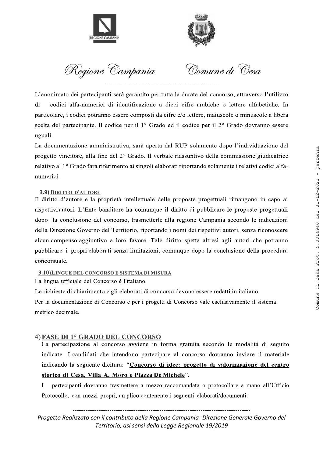



Regione Campania

Comune di Cesa

L'anonimato dei partecipanti sarà garantito per tutta la durata del concorso, attraverso l'utilizzo codici alfa-numerici di identificazione a dieci cifre arabiche o lettere alfabetiche. In di particolare, i codici potranno essere composti da cifre e/o lettere, maiuscole o minuscole a libera scelta del partecipante. Il codice per il 1º Grado ed il codice per il 2º Grado dovranno essere uguali.

La documentazione amministrativa, sarà aperta dal RUP solamente dopo l'individuazione del progetto vincitore, alla fine del 2° Grado. Il verbale riassuntivo della commissione giudicatrice relativo al 1º Grado farà riferimento ai singoli elaborati riportando solamente i relativi codici alfanumerici.

# 3.9) DIRITTO D'AUTORE

Il diritto d'autore e la proprietà intellettuale delle proposte progettuali rimangono in capo ai rispettivi autori. L'Ente banditore ha comunque il diritto di pubblicare le proposte progettuali dopo la conclusione del concorso, trasmetterle alla regione Campania secondo le indicazioni della Direzione Governo del Territorio, riportando i nomi dei rispettivi autori, senza riconoscere alcun compenso aggiuntivo a loro favore. Tale diritto spetta altresì agli autori che potranno pubblicare i propri elaborati senza limitazioni, comunque dopo la conclusione della procedura concorsuale.

#### 3.10) LINGUE DEL CONCORSO E SISTEMA DI MISURA

La lingua ufficiale del Concorso è l'italiano.

Le richieste di chiarimento e gli elaborati di concorso devono essere redatti in italiano.

Per la documentazione di Concorso e per i progetti di Concorso vale esclusivamente il sistema metrico decimale.

# 4) FASE DI 1º GRADO DEL CONCORSO

La partecipazione al concorso avviene in forma gratuita secondo le modalità di seguito indicate. I candidati che intendono partecipare al concorso dovranno inviare il materiale indicando la seguente dicitura: "Concorso di idee: progetto di valorizzazione del centro storico di Cesa, Villa A. Moro e Piazza De Michele".

I partecipanti dovranno trasmettere a mezzo raccomandata o protocollare a mano all'Ufficio Protocollo, con mezzi propri, un plico contenente i seguenti elaborati/documenti: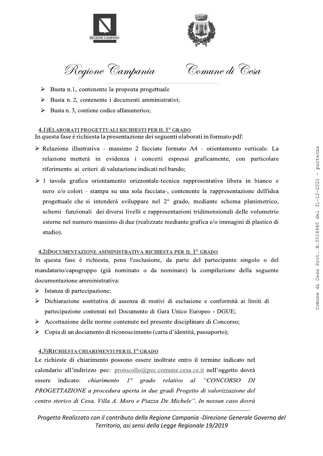



Regione Campan

Comune di Cesa

- $\triangleright$  Busta n.1, contenente la proposta progettuale
- Busta n. 2, contenente i documenti amministrativi;
- Busta n. 3, contiene codice alfanumerico:

#### 4.1) ELABORATI PROGETTUALI RICHIESTI PER IL 1º GRADO In questa fase è richiesta la presentazione dei seguenti elaborati in formato pdf:

- > Relazione illustrativa massimo 2 facciate formato A4 orientamento verticale. La relazione metterà in evidenza i concetti espressi graficamente, con particolare riferimento ai criteri di valutazione indicati nel bando;
- $\geq 1$  tavola grafica orientamento orizzontale-tecnica rappresentativa libera in bianco e nero e/o colori - stampa su una sola facciata-, contenente la rappresentazione dell'idea progettuale che si intenderà sviluppare nel 2° grado, mediante schema planimetrico, schemi funzionali dei diversi livelli e rappresentazioni tridimensionali delle volumetrie esterne nel numero massimo di due (realizzate mediante grafica e/o immagini di plastico di studio).  $\frac{1}{2}$  Pastan 2, continue calculation animalisation,<br>  $\frac{1}{2}$  Pastan 3, continue context at the theory are the system in formato Ad - orientamento verticals. La<br>
The quasar frace derivation and 2 is content change fo

#### 4.2)DOCUMENTAZIONE AMMINISTRATIVA RICHIESTA PER IL <sup>1°</sup> GRADO

In questa fase è richiesta, pena l'esclusione, da parte del partecipante singolo o del mandatario/capogruppo (già nominato o da nominare) la compilazione della seguente documentazione amministrativa:

- $\triangleright$  Istanza di partecipazione;
- Dichiarazione sostitutiva di assenza di motivi di esclusione e conformità ai limiti di partecipazione contenuti nel Documento di Gara Unico Europeo - DGUE;
- $\triangleright$  Accettazione delle norme contenute nel presente disciplinare di Concorso;
- $\triangleright$  Copia di un documento di riconoscimento (carta d'identità, passaporto);

#### 4.3) RICHIESTA CHIARIMENTI PER IL 1º GRADO

e richieste di chiarimento possono essere inoltrate entro il termine indicato nel<br>alendario all'indirizzo pec: <u>protocollo@pec.comune.cesa.ce.it</u> nell'oggetto dovrà<br>ssere indicato: *chiarimento 1° grado relativo al "CONCOR* Le richieste di chiarimento possono essere inoltrate entro il termine indicato nel calendario all'indirizzo pec: protocollo@pec.comune.cesa.ce.it nell'oggetto dovrà essere indicato: *chiarimento*  $1^\circ$  grado relativo al "CONCORSO DI PROGETTAZIONE a procedura aperta in due gradi Progetto di valorizzazione del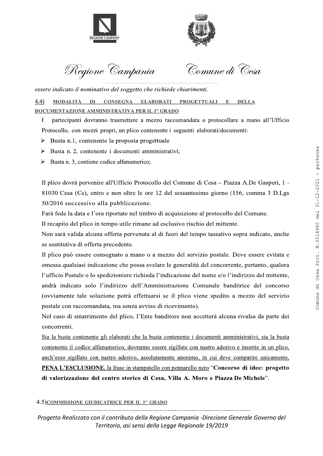



Regione Campania

Comune di Cesa

essere indicato il nominativo del soggetto che richiede chiarimenti.

MODALITÀ DI CONSEGNA ELABORATI PROGETTUALI E  $(4.4)$ **DELLA DOCUMENTAZIONE AMMINISTRATIVA PER IL 1º GRADO** 

 $\bf{I}$ partecipanti dovranno trasmettere a mezzo raccomandata o protocollare a mano all'Ufficio Protocollo, con mezzi propri, un plico contenente i seguenti elaborati/documenti:

- $\triangleright$  Busta n.1, contenente la proposta progettuale
- $\triangleright$  Busta n. 2, contenente i documenti amministrativi;
- Busta n. 3, contiene codice alfanumerico; ↘

Il plico dovrà pervenire all'Ufficio Protocollo del Comune di Cesa – Piazza A.De Gasperi, 1 -81030 Cesa (Ce), entro e non oltre le ore 12 del sessantesimo giorno (156, comma 3 D.Lgs 50/2016 successivo alla pubblicazione.

Farà fede la data e l'ora riportate nel timbro di acquisizione al protocollo del Comune.

Il recapito del plico in tempo utile rimane ad esclusivo rischio del mittente.

Non sarà valida alcuna offerta pervenuta al di fuori del tempo tassativo sopra indicato, anche se sostitutiva di offerta precedente.

Il plico può essere consegnato a mano o a mezzo del servizio postale. Deve essere evitata e omessa qualsiasi indicazione che possa svelare le generalità del concorrente, pertanto, qualora l'ufficio Postale o lo spedizioniere richieda l'indicazione del nome e/o l'indirizzo del mittente, andrà indicato solo l'indirizzo dell'Amministrazione Comunale banditrice del concorso (ovviamente tale soluzione potrà effettuarsi se il plico viene spedito a mezzo del servizio postale con raccomandata, ma senza avviso di ricevimento).

Nel caso di smarrimento del plico, l'Ente banditore non accetterà alcuna rivalsa da parte dei concorrenti.

Sia la busta contenente gli elaborati che la busta contenente i documenti amministrativi, sia la busta contenente il codice alfanumerico, dovranno essere sigillate con nastro adesivo e inserite in un plico, anch'esso sigillato con nastro adesivo, assolutamente anonimo, in cui deve comparire unicamente, PENA L'ESCLUSIONE, la frase in stampatello con pennarello nero "Concorso di idee: progetto di valorizzazione del centro storico di Cesa, Villa A. Moro e Piazza De Michele".

4.5) COMMISSIONE GIUDICATRICE PER IL 1° GRADO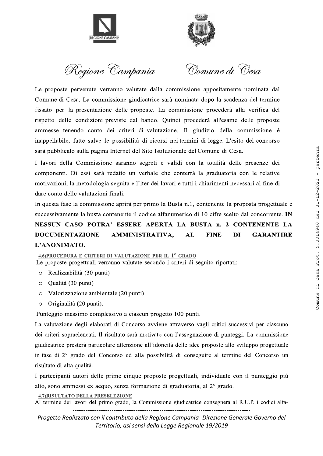



Regione Campan

Comune di Cesa

Le proposte pervenute verranno valutate dalla commissione appositamente nominata dal Comune di Cesa. La commissione giudicatrice sarà nominata dopo la scadenza del termine fissato per la presentazione delle proposte. La commissione procederà alla verifica del rispetto delle condizioni previste dal bando. Quindi procederà all'esame delle proposte ammesse tenendo conto dei criteri di valutazione. Il giudizio della commissione è inappellabile, fatte salve le possibilità di ricorsi nei termini di legge. L'esito del concorso sarà pubblicato sulla pagina Internet del Sito Istituzionale del Comune di Cesa. Commission procedure the structure and average and average and average the strength of the control ones of the control ones of the control ones of the control ones of the strength of the strength of the strength of the st

I lavori della Commissione saranno segreti e validi con la totalità delle presenze dei componenti. Di essi sarà redatto un verbale che conterrà la graduatoria con le relative motivazioni, la metodologia seguita e l'iter dei lavori e tutti i chiarimenti necessari al fine di dare conto delle valutazioni finali.

In questa fase la commissione aprirà per primo la Busta n.1, contenente la proposta progettuale e successivamente la busta contenente il codice alfanumerico di 10 cifre scelto dal concorrente. IN

# NESSUN CASO POTRA' ESSERE APERTA LA BUSTA n. 2 CONTENENTE LA DOCUMENTAZIONE AMMINISTRATIVA. AL FINE DI GARANTIRE L'ANONIMATO.

4.6)PROCEDURA E CRITERI DI VALUTAZIONE PER IL  $1^\circ$  GRADO

Le proposte progettuali verranno valutate secondo i criteri di seguito riportati:

- o Realizzabilità (30 punti)
- Qualità (30 punti)
- Valorizzazione ambientale (20 punti)
- Originalità (20 punti).

Punteggio massimo complessivo a ciascun progetto 100 punti.

La valutazione degli elaborati di Concorso avviene attraverso vagli critici successivi per ciascuno dei criteri sopraelencati. Il risultato sarà motivato con l'assegnazione di punteggi. La commissione giudicatrice presterà particolare attenzione all'idoneità delle idee proposte allo sviluppo progettuale in fase di  $2^{\circ}$  grado del Concorso ed alla possibilità di conseguire al termine del Concorso un risultato di alta qualità.

The isolator of a state of  $2^2$  grado del Concorso ed anal possibilità di conseguire al termine del Concorso un<br>
isultato di alta qualità.<br>
partecipanti autori delle prime cinque proposte progettuali, individuate con il I partecipanti autori delle prime cinque proposte progettuali, individuate con il punteggio più alto, sono ammessi ex aequo, senza formazione di graduatoria, al  $2^{\circ}$  grado.

4.7) RISULTATO DELLA PRESELEZIONE<br>Al termine dei lavori del primo grado, la Commissione giudicatrice consegnerà al R.U.P. i codici alfa-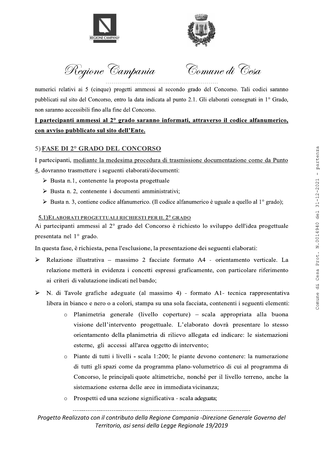



Regione Campania

Comune di Cesa

numerici relativi ai 5 (cinque) progetti ammessi al secondo grado del Concorso. Tali codici saranno pubblicati sul sito del Concorso, entro la data indicata al punto 2.1. Gli elaborati consegnati in 1º Grado, non saranno accessibili fino alla fine del Concorso.

# I partecipanti ammessi al 2º grado saranno informati, attraverso il codice alfanumerico, con avviso pubblicato sul sito dell'Ente.

# 5) FASE DI 2° GRADO DEL CONCORSO

I partecipanti, mediante la medesima procedura di trasmissione documentazione come da Punto

4, dovranno trasmettere i seguenti elaborati/documenti:

- $\triangleright$  Busta n.1, contenente la proposta progettuale
- $\triangleright$  Busta n. 2, contenente i documenti amministrativi;
- $\triangleright$  Busta n. 3, contiene codice alfanumerico. (Il codice alfanumerico è uguale a quello al 1<sup>o</sup> grado);

### 5.1) ELABORATI PROGETTUALI RICHIESTI PER IL 2º GRADO

Ai partecipanti ammessi al 2° grado del Concorso è richiesto lo sviluppo dell'idea progettuale presentata nel  $1^\circ$  grado.

In questa fase, è richiesta, pena l'esclusione, la presentazione dei seguenti elaborati:

- Relazione illustrativa massimo 2 facciate formato A4 orientamento verticale. La  $\blacktriangleright$ relazione metterà in evidenza i concetti espressi graficamente, con particolare riferimento ai criteri di valutazione indicati nel bando;
- N. di Tavole grafiche adeguate (al massimo 4) formato A1- tecnica rappresentativa  $\blacktriangleright$ libera in bianco e nero o a colori, stampa su una sola facciata, contenenti i seguenti elementi:
	- Planimetria generale (livello coperture) scala appropriata alla buona visione dell'intervento progettuale. L'elaborato dovrà presentare lo stesso orientamento della planimetria di rilievo allegata ed indicare: le sistemazioni esterne, gli accessi all'area oggetto di intervento;
	- Piante di tutti i livelli scala 1:200; le piante devono contenere: la numerazione  $\circ$ di tutti gli spazi come da programma plano-volumetrico di cui al programma di Concorso, le principali quote altimetriche, nonché per il livello terreno, anche la sistemazione esterna delle aree in immediata vicinanza;
	- Prospetti ed una sezione significativa scala adeguata;  $\Omega$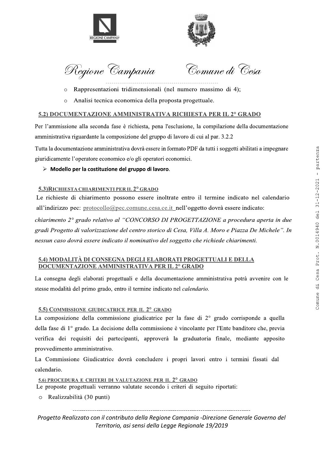



Regione Campan

Comune di Cesa

- $\circ$  Rappresentazioni tridimensionali (nel numero massimo di 4);
- Analisi tecnica economica della proposta progettuale.

### 5.2) DOCUMENTAZIONE AMMINISTRATIVA RICHIESTA PER IL 2º GRADO

Per l'ammissione alla seconda fase è richiesta, pena l'esclusione, la compilazione della documentazione amministrativa riguardante la composizione del gruppo di lavoro di cui al par. 3.2.2

Tutta la documentazione amministrativa dovrà essere in formato PDF da tutti i soggetti abilitati a impegnare giuridicamente l'operatore economico e/o gli operatori economici.

### $\triangleright$  Modello per la costituzione del gruppo di lavoro.

#### 5.3) RICHIESTA CHIARIMENTI PER IL 2º GRADO

Le richieste di chiarimento possono essere inoltrate entro il termine indicato nel calendario all'indirizzo pec: protocollo@pec.comune.cesa.ce.it\_nell'oggetto dovrà essere indicato:

 $chiarimento$   $2^{\circ}$  grado relativo al "CONCORSO DI PROGETTAZIONE a procedura aperta in due gradi Progetto di valorizzazione del centro storico di Cesa, Villa A. Moro e Piazza De Michele". In nessun caso dovrà essere indicato il nominativo del soggetto che richiede chiarimenti.

### 5.4) MODALITÀ DI CONSEGNA DEGLI ELABORATI PROGETTUALI E DELLA DOCUMENTAZIONE AMMINISTRATIVA PER IL 2° GRADO

La consegna degli elaborati progettuali e della documentazione amministrativa potrà avvenire con le stesse modalità del primo grado, entro il termine indicato nel *calendario*.

#### 5.5) COMMISSIONE GIUDICATRICE PER IL 2° GRADO

La composizione della commissione giudicatrice per la fase di  $2^{\circ}$  grado corrisponde a quella della fase di  $1^\circ$  grado. La decisione della commissione è vincolante per l'Ente banditore che, previa verifica dei requisiti dei partecipanti, approverà la graduatoria finale, mediante apposito provvedimento amministrativo. 2 2010 CUMENTAZIONE COMPUT UNITRATE COMPUTE (1990) THE TRAFFIC CRADE (1991) THE COMPUTE COMPUTE COMPUTE COMPUTE COMPUTE COMPUTE COMPUTE COMPUTE COMPUTE COMPUTE COMPUTE COMPUTE COMPUTE COMPUTE COMPUTE COMPUTE COMPUTE COMPU

A Commissione Giudicatrice dovrà concludere i propri lavori entro i termini fissati dal<br>
alendario.<br>
<u>5.6) PROCEDURA E CRITERI DI VALUTAZIONE PER IL 2° GRADO</u><br>
Le proposte progettuali verranno valutate secondo i criteri d La Commissione Giudicatrice dovrà concludere i propri lavori entro i termini fissati dal calendario.

5.6) PROCEDURA E CRITERI DI VALUTAZIONE PER IL  $2^{\circ}$  GRADO

Le proposte progettuali verranno valutate secondo i criteri di seguito riportati: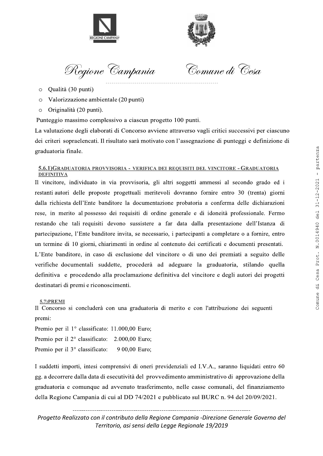



Regione Campan

Comune di Cesa

- $\circ$  Qualità (30 punti)
- Valorizzazione ambientale (20 punti)
- Originalità (20 punti).

Punteggio massimo complessivo a ciascun progetto 100 punti.

La valutazione degli elaborati di Concorso avviene attraverso vagli critici successivi per ciascuno dei criteri sopraelencati. Il risultato sarà motivato con l'assegnazione di punteggi e definizione di graduatoria finale.

#### 5.6.1)GRADUATORIA PROVVISORIA - VERIFICA DEI REQUISITI DEL VINCITORE - GRADUATORIA DEFINITIVA

Il vincitore, individuato in via provvisoria, gli altri soggetti ammessi al secondo grado ed i restanti autori delle proposte progettuali meritevoli dovranno fornire entro 30 (trenta) giorni dalla richiesta dell'Ente banditore la documentazione probatoria a conferma delle dichiarazioni rese, in merito al possesso dei requisiti di ordine generale e di idoneità professionale. Fermo restando che tali requisiti devono sussistere a far data dalla presentazione dell'Istanza di partecipazione, l'Ente banditore invita, se necessario, i partecipanti a completare o a fornire, entro un termine di 10 giorni, chiarimenti in ordine al contenuto dei certificati e documenti presentati. L'Ente banditore, in caso di esclusione del vincitore o di uno dei premiati a seguito delle verifiche documentali suddette, procederà ad adeguare la graduatoria, stilando quella definitiva e procedendo alla proclamazione definitiva del vincitore e degli autori dei progetti destinatari di premi e riconoscimenti. Consideration encoderations are corporated to consider the state of the state of the state of the state of the state of the state of the state of the state of the state of the state of the state of the state of the state

5.7)PREMI

Il Concorso si concluderà con una graduatoria di merito e con l'attribuzione dei seguenti premi:

Premio per il 1º classificato: 11.000,00 Euro; Premio per il  $2^{\circ}$  classificato: 2.000,00 Euro; Premio per il  $3^\circ$  classificato: 9 00,00 Euro;

suddetti importi, intesi comprensivi di oneri previdenziali ed I.V.A., saranno liquidati entro 60<br>
g. a decorrere dalla data di esecutività del provvedimento amministrativo di approvazione della<br>
rraduatoria e comunque ad I suddetti importi, intesi comprensivi di oneri previdenziali ed I.V.A., saranno liquidati entro 60 gg. a decorrere dalla data di esecutività del provvedimento amministrativo di approvazione della graduatoria e comunque ad avvenuto trasferimento, nelle casse comunali, del finanziamento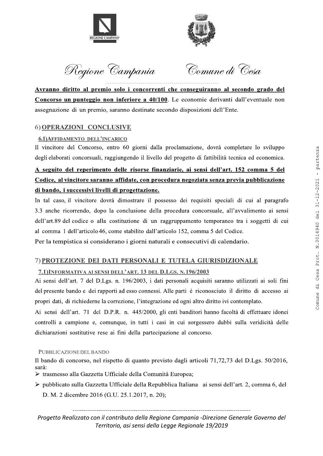



Regione Campan

Comune di Cesa

Avranno diritto al premio solo i concorrenti che conseguiranno al secondo grado del Concorso un punteggio non inferiore a 40/100. Le economie derivanti dall'eventuale non assegnazione di un premio, saranno destinate secondo disposizioni dell'Ente.

# 6) OPERAZIONI CONCLUSIVE

# 6.1) AFFIDAMENTO DELL'INCARICO

Il vincitore del Concorso, entro 60 giorni dalla proclamazione, dovrà completare lo sviluppo degli elaborati concorsuali, raggiungendo il livello del progetto di fattibilità tecnica ed economica.

# A seguito del reperimento delle risorse finanziarie, ai sensi dell'art. 152 comma 5 del Codice, al vincitore saranno affidate, con procedura negoziata senza previa pubblicazione di bando, i successivi livelli di progettazione.

In tal caso, il vincitore dovrà dimostrare il possesso dei requisiti speciali di cui al paragrafo 3.3 anche ricorrendo, dopo la conclusione della procedura concorsuale, all'avvalimento ai sensi dell'art.89 del codice o alla costituzione di un raggruppamento temporaneo tra i soggetti di cui al comma 1 dell'articolo 46, come stabilito dall'articolo 152, comma 5 del Codice. **EXECUTE CONCELUSIVE**<br> **EXECUTE CONCELUSIVE**<br> **EXECUTE CONCELUSIVE**<br> **EXECUTE CONCELUSIVE**<br> **EXECUTE CONCELUSIVE**<br> **EXECUTE CONCENSIVE**<br> **EXECUTE CONCENSIVE**<br> **EXECUTE CONCENSIVE**<br> **EXECUTE CONCENSIVE**<br> **EXECUTE CONCENSIV** 

Per la tempistica si considerano i giorni naturali e consecutivi di calendario.

# 7) PROTEZIONE DEI DATI PERSONALI E TUTELA GIURISDIZIONALE

# 7.1) INFORMATIVA AI SENSI DELL'ART. 13 DEL D.LGS. N. 196/2003

Ai sensi dell'art. 7 del D.Lgs. n. 196/2003, i dati personali acquisiti saranno utilizzati ai soli fini del presente bando e dei rapporti ad esso connessi. Alle parti è riconosciuto il diritto di accesso ai propri dati, di richiederne la correzione, l'integrazione ed ogni altro diritto ivi contemplato.

Ai sensi dell'art. 71 del D.P.R. n. 445/2000, gli enti banditori hanno facoltà di effettuare idonei controlli a campione e, comunque, in tutti i casi in cui sorgessero dubbi sulla veridicità delle dichiarazioni sostitutive rese ai fini della partecipazione al concorso.

#### PUBBLICAZIONE DEL BANDO

Il bando di concorso, nel rispetto di quanto previsto dagli articoli 71,72,73 del D.Lgs.  $50/2016$ , sarà:

- $\triangleright$  trasmesso alla Gazzetta Ufficiale della Comunità Europea;
- l bando di concorso, nel rispetto di quanto previsto dagli articoli 71,72,73 del D.Lgs. 50/2016,<br>
arà:<br>
\* trasmesso alla Gazzetta Ufficiale della Comunità Europea;<br>
\* pubblicato sulla Gazzetta Ufficiale della Repubblica It  $\geq$  pubblicato sulla Gazzetta Ufficiale della Repubblica Italiana ai sensi dell'art. 2, comma 6, del